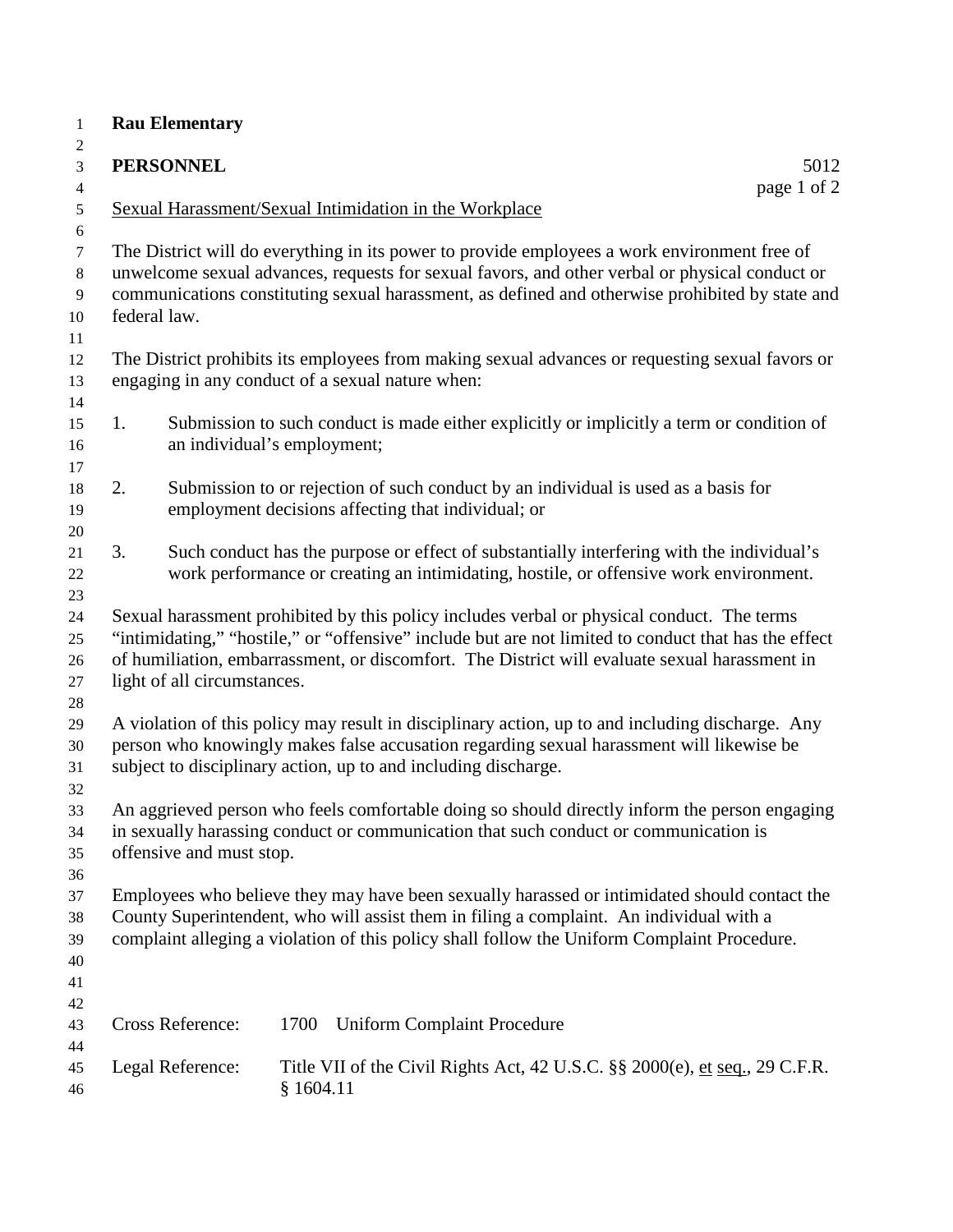| $\mathbf{1}$                              |    | <b>Rau Elementary</b>                                                                                                                                                                                                                                                                                                              |           |                                                                                                                                                                                                                                                                                                   |             |  |  |
|-------------------------------------------|----|------------------------------------------------------------------------------------------------------------------------------------------------------------------------------------------------------------------------------------------------------------------------------------------------------------------------------------|-----------|---------------------------------------------------------------------------------------------------------------------------------------------------------------------------------------------------------------------------------------------------------------------------------------------------|-------------|--|--|
| $\overline{c}$<br>3                       |    | <b>PERSONNEL</b><br>5012                                                                                                                                                                                                                                                                                                           |           |                                                                                                                                                                                                                                                                                                   |             |  |  |
| $\overline{4}$                            |    |                                                                                                                                                                                                                                                                                                                                    |           |                                                                                                                                                                                                                                                                                                   | page 1 of 2 |  |  |
| $\mathfrak{S}$                            |    |                                                                                                                                                                                                                                                                                                                                    |           | Sexual Harassment/Sexual Intimidation in the Workplace                                                                                                                                                                                                                                            |             |  |  |
| $\boldsymbol{6}$                          |    |                                                                                                                                                                                                                                                                                                                                    |           |                                                                                                                                                                                                                                                                                                   |             |  |  |
| $\tau$<br>$\,8\,$<br>$\overline{9}$<br>10 |    | federal law.                                                                                                                                                                                                                                                                                                                       |           | The District will do everything in its power to provide employees a work environment free of<br>unwelcome sexual advances, requests for sexual favors, and other verbal or physical conduct or<br>communications constituting sexual harassment, as defined and otherwise prohibited by state and |             |  |  |
| 11<br>12<br>13                            |    |                                                                                                                                                                                                                                                                                                                                    |           | The District prohibits its employees from making sexual advances or requesting sexual favors or<br>engaging in any conduct of a sexual nature when:                                                                                                                                               |             |  |  |
| 14<br>15<br>16                            | 1. | an individual's employment;                                                                                                                                                                                                                                                                                                        |           | Submission to such conduct is made either explicitly or implicitly a term or condition of                                                                                                                                                                                                         |             |  |  |
| 17<br>18<br>19                            | 2. |                                                                                                                                                                                                                                                                                                                                    |           | Submission to or rejection of such conduct by an individual is used as a basis for<br>employment decisions affecting that individual; or                                                                                                                                                          |             |  |  |
| 20<br>21<br>22                            | 3. |                                                                                                                                                                                                                                                                                                                                    |           | Such conduct has the purpose or effect of substantially interfering with the individual's<br>work performance or creating an intimidating, hostile, or offensive work environment.                                                                                                                |             |  |  |
| 23<br>24<br>25<br>26<br>27<br>28          |    | Sexual harassment prohibited by this policy includes verbal or physical conduct. The terms<br>"intimidating," "hostile," or "offensive" include but are not limited to conduct that has the effect<br>of humiliation, embarrassment, or discomfort. The District will evaluate sexual harassment in<br>light of all circumstances. |           |                                                                                                                                                                                                                                                                                                   |             |  |  |
| 29<br>30<br>31                            |    |                                                                                                                                                                                                                                                                                                                                    |           | A violation of this policy may result in disciplinary action, up to and including discharge. Any<br>person who knowingly makes false accusation regarding sexual harassment will likewise be<br>subject to disciplinary action, up to and including discharge.                                    |             |  |  |
| 32<br>33<br>34<br>35                      |    | An aggrieved person who feels comfortable doing so should directly inform the person engaging<br>in sexually harassing conduct or communication that such conduct or communication is<br>offensive and must stop.                                                                                                                  |           |                                                                                                                                                                                                                                                                                                   |             |  |  |
| 36<br>37<br>38<br>39                      |    | Employees who believe they may have been sexually harassed or intimidated should contact the<br>County Superintendent, who will assist them in filing a complaint. An individual with a<br>complaint alleging a violation of this policy shall follow the Uniform Complaint Procedure.                                             |           |                                                                                                                                                                                                                                                                                                   |             |  |  |
| 40<br>41<br>42<br>43                      |    | Cross Reference:                                                                                                                                                                                                                                                                                                                   | 1700      | <b>Uniform Complaint Procedure</b>                                                                                                                                                                                                                                                                |             |  |  |
| 44<br>45<br>46                            |    | Legal Reference:                                                                                                                                                                                                                                                                                                                   | § 1604.11 | Title VII of the Civil Rights Act, 42 U.S.C. §§ 2000(e), et seq., 29 C.F.R.                                                                                                                                                                                                                       |             |  |  |